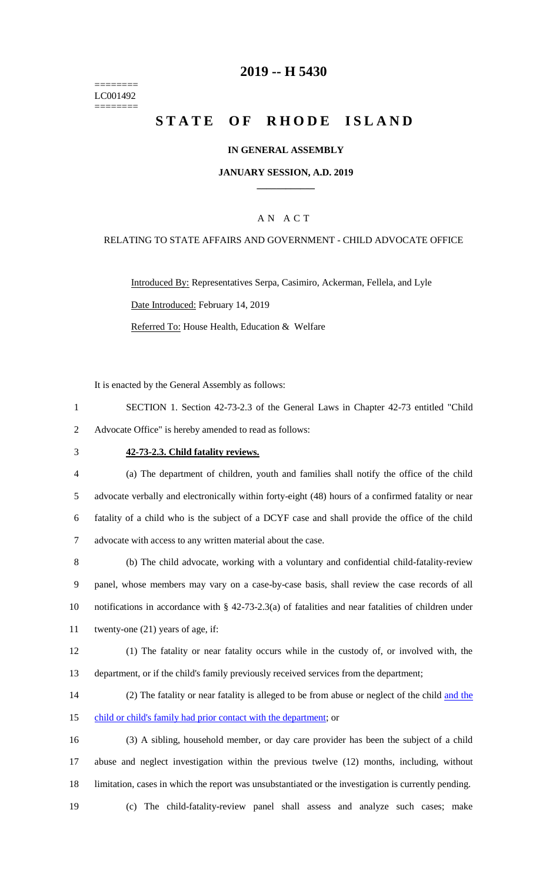======== LC001492 ========

### **2019 -- H 5430**

# **STATE OF RHODE ISLAND**

#### **IN GENERAL ASSEMBLY**

#### **JANUARY SESSION, A.D. 2019 \_\_\_\_\_\_\_\_\_\_\_\_**

#### A N A C T

#### RELATING TO STATE AFFAIRS AND GOVERNMENT - CHILD ADVOCATE OFFICE

Introduced By: Representatives Serpa, Casimiro, Ackerman, Fellela, and Lyle Date Introduced: February 14, 2019 Referred To: House Health, Education & Welfare

It is enacted by the General Assembly as follows:

1 SECTION 1. Section 42-73-2.3 of the General Laws in Chapter 42-73 entitled "Child 2 Advocate Office" is hereby amended to read as follows:

### 3 **42-73-2.3. Child fatality reviews.**

 (a) The department of children, youth and families shall notify the office of the child advocate verbally and electronically within forty-eight (48) hours of a confirmed fatality or near fatality of a child who is the subject of a DCYF case and shall provide the office of the child advocate with access to any written material about the case.

 (b) The child advocate, working with a voluntary and confidential child-fatality-review panel, whose members may vary on a case-by-case basis, shall review the case records of all notifications in accordance with § 42-73-2.3(a) of fatalities and near fatalities of children under twenty-one (21) years of age, if:

12 (1) The fatality or near fatality occurs while in the custody of, or involved with, the 13 department, or if the child's family previously received services from the department;

14 (2) The fatality or near fatality is alleged to be from abuse or neglect of the child and the 15 child or child's family had prior contact with the department; or

16 (3) A sibling, household member, or day care provider has been the subject of a child 17 abuse and neglect investigation within the previous twelve (12) months, including, without 18 limitation, cases in which the report was unsubstantiated or the investigation is currently pending.

19 (c) The child-fatality-review panel shall assess and analyze such cases; make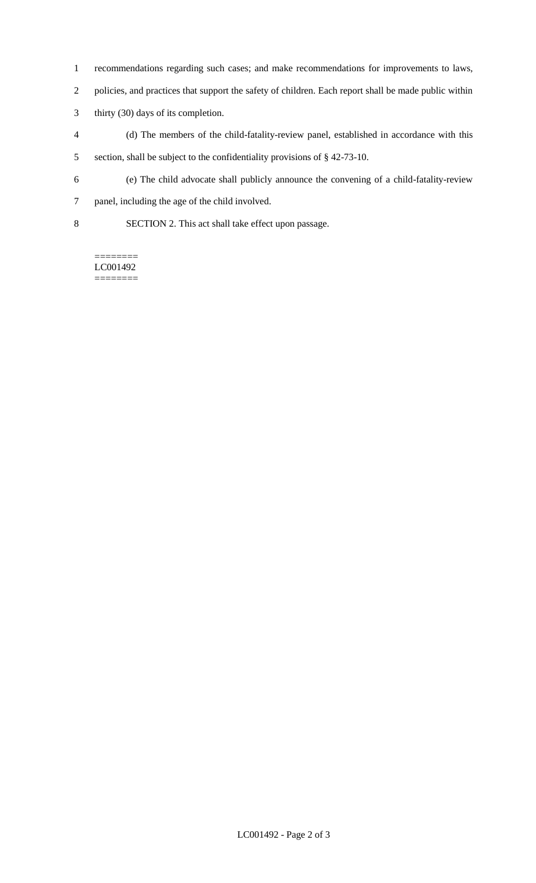- recommendations regarding such cases; and make recommendations for improvements to laws,
- policies, and practices that support the safety of children. Each report shall be made public within
- thirty (30) days of its completion.
- (d) The members of the child-fatality-review panel, established in accordance with this section, shall be subject to the confidentiality provisions of § 42-73-10.
- (e) The child advocate shall publicly announce the convening of a child-fatality-review
- panel, including the age of the child involved.
- SECTION 2. This act shall take effect upon passage.

======== LC001492 ========